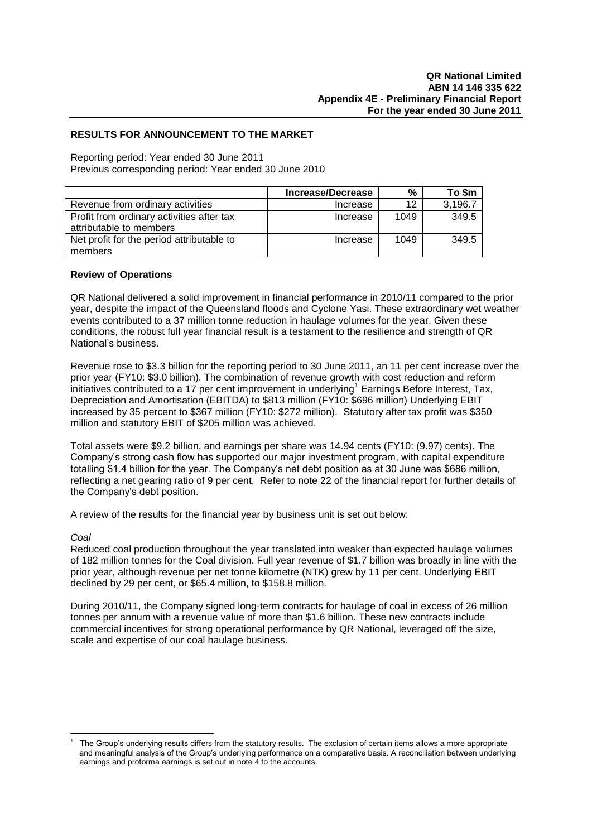# **RESULTS FOR ANNOUNCEMENT TO THE MARKET**

Reporting period: Year ended 30 June 2011 Previous corresponding period: Year ended 30 June 2010

|                                                                      | <b>Increase/Decrease</b> | %    | To \$m  |
|----------------------------------------------------------------------|--------------------------|------|---------|
| Revenue from ordinary activities                                     | Increase                 | 12   | 3,196.7 |
| Profit from ordinary activities after tax<br>attributable to members | Increase                 | 1049 | 349.5   |
| Net profit for the period attributable to<br>members                 | Increase                 | 1049 | 349.5   |

## **Review of Operations**

QR National delivered a solid improvement in financial performance in 2010/11 compared to the prior year, despite the impact of the Queensland floods and Cyclone Yasi. These extraordinary wet weather events contributed to a 37 million tonne reduction in haulage volumes for the year. Given these conditions, the robust full year financial result is a testament to the resilience and strength of QR National's business.

Revenue rose to \$3.3 billion for the reporting period to 30 June 2011, an 11 per cent increase over the prior year (FY10: \$3.0 billion). The combination of revenue growth with cost reduction and reform initiatives contributed to a 17 per cent improvement in underlying<sup>1</sup> Earnings Before Interest, Tax, Depreciation and Amortisation (EBITDA) to \$813 million (FY10: \$696 million) Underlying EBIT increased by 35 percent to \$367 million (FY10: \$272 million). Statutory after tax profit was \$350 million and statutory EBIT of \$205 million was achieved.

Total assets were \$9.2 billion, and earnings per share was 14.94 cents (FY10: (9.97) cents). The Company's strong cash flow has supported our major investment program, with capital expenditure totalling \$1.4 billion for the year. The Company's net debt position as at 30 June was \$686 million, reflecting a net gearing ratio of 9 per cent. Refer to note 22 of the financial report for further details of the Company's debt position.

A review of the results for the financial year by business unit is set out below:

#### *Coal*

 $\overline{a}$ 1

Reduced coal production throughout the year translated into weaker than expected haulage volumes of 182 million tonnes for the Coal division. Full year revenue of \$1.7 billion was broadly in line with the prior year, although revenue per net tonne kilometre (NTK) grew by 11 per cent. Underlying EBIT declined by 29 per cent, or \$65.4 million, to \$158.8 million.

During 2010/11, the Company signed long-term contracts for haulage of coal in excess of 26 million tonnes per annum with a revenue value of more than \$1.6 billion. These new contracts include commercial incentives for strong operational performance by QR National, leveraged off the size, scale and expertise of our coal haulage business.

The Group's underlying results differs from the statutory results. The exclusion of certain items allows a more appropriate and meaningful analysis of the Group's underlying performance on a comparative basis. A reconciliation between underlying earnings and proforma earnings is set out in note 4 to the accounts.